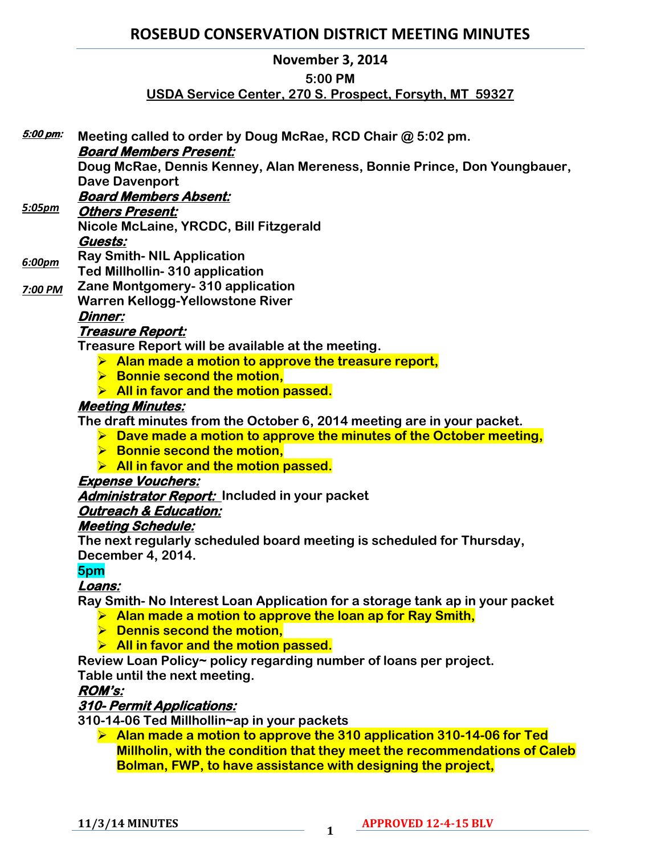# **ROSEBUD CONSERVATION DISTRICT MEETING MINUTES**

# **November 3, 2014**

#### **5:00 PM**

# **USDA Service Center, 270 S. Prospect, Forsyth, MT 59327**

| 5:00 pm: | Meeting called to order by Doug McRae, RCD Chair @ 5:02 pm.<br><b>Board Members Present:</b> |
|----------|----------------------------------------------------------------------------------------------|
|          | Doug McRae, Dennis Kenney, Alan Mereness, Bonnie Prince, Don Youngbauer,                     |
|          |                                                                                              |
|          | <b>Dave Davenport</b>                                                                        |
| 5:05pm   | <b>Board Members Absent:</b>                                                                 |
|          | <b>Others Present:</b>                                                                       |
|          | Nicole McLaine, YRCDC, Bill Fitzgerald                                                       |
|          | Guests:                                                                                      |
| 6:00pm   | <b>Ray Smith- NIL Application</b>                                                            |
|          | <b>Ted Millhollin-310 application</b>                                                        |
| 7:00 PM  | Zane Montgomery- 310 application                                                             |
|          | <b>Warren Kellogg-Yellowstone River</b>                                                      |
|          | <b>Dinner:</b>                                                                               |
|          | <u> Treasure Report:</u>                                                                     |
|          | Treasure Report will be available at the meeting.                                            |
|          | $\triangleright$ Alan made a motion to approve the treasure report,                          |
|          | $\triangleright$ Bonnie second the motion,                                                   |
|          | $\triangleright$ All in favor and the motion passed.                                         |
|          | <b>Meeting Minutes:</b>                                                                      |
|          | The draft minutes from the October 6, 2014 meeting are in your packet.                       |
|          | $\triangleright$ Dave made a motion to approve the minutes of the October meeting,           |
|          | $\triangleright$ Bonnie second the motion,                                                   |
|          | $\triangleright$ All in favor and the motion passed.                                         |
|          | <b>Expense Vouchers:</b>                                                                     |
|          | <b>Administrator Report:</b> Included in your packet                                         |
|          | <b>Outreach &amp; Education:</b>                                                             |
|          | <b>Meeting Schedule:</b>                                                                     |
|          | The next regularly scheduled board meeting is scheduled for Thursday,                        |
|          | December 4, 2014.                                                                            |
|          | 5pm                                                                                          |
|          | Loans:                                                                                       |
|          | Ray Smith-No Interest Loan Application for a storage tank ap in your packet                  |
|          | Alan made a motion to approve the loan ap for Ray Smith,                                     |
|          | <b>Dennis second the motion,</b>                                                             |
|          | All in favor and the motion passed.                                                          |
|          | Review Loan Policy~ policy regarding number of loans per project.                            |
|          | Table until the next meeting.                                                                |
|          | <b>ROM's:</b>                                                                                |
|          | 310- Permit Applications:                                                                    |
|          |                                                                                              |

**310-14-06 Ted Millhollin~ap in your packets**

 **Alan made a motion to approve the 310 application 310-14-06 for Ted Millholin, with the condition that they meet the recommendations of Caleb Bolman, FWP, to have assistance with designing the project,** 

**11/3/14 MINUTES <sup>1</sup>**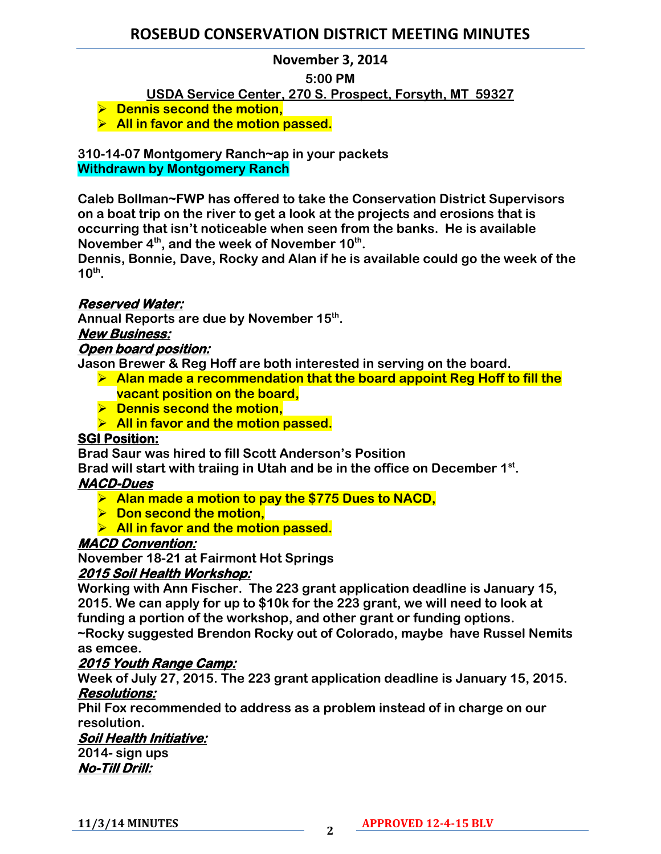# **ROSEBUD CONSERVATION DISTRICT MEETING MINUTES**

## **November 3, 2014**

#### **5:00 PM**

## **USDA Service Center, 270 S. Prospect, Forsyth, MT 59327**

- $\triangleright$  Dennis second the motion,
- **All in favor and the motion passed.**

**310-14-07 Montgomery Ranch~ap in your packets Withdrawn by Montgomery Ranch**

**Caleb Bollman~FWP has offered to take the Conservation District Supervisors on a boat trip on the river to get a look at the projects and erosions that is occurring that isn't noticeable when seen from the banks. He is available November 4th, and the week of November 10th .** 

**Dennis, Bonnie, Dave, Rocky and Alan if he is available could go the week of the 10th .** 

## **Reserved Water:**

**Annual Reports are due by November 15th .**

## **New Business:**

## **Open board position:**

**Jason Brewer & Reg Hoff are both interested in serving on the board.** 

- **Alan made a recommendation that the board appoint Reg Hoff to fill the vacant position on the board,**
- $\triangleright$  Dennis second the motion,
- **All in favor and the motion passed.**

## **SGI Position:**

**Brad Saur was hired to fill Scott Anderson's Position**

**Brad will start with traiing in Utah and be in the office on December 1st .** 

#### **NACD-Dues**

- **Alan made a motion to pay the \$775 Dues to NACD,**
- $\triangleright$  Don second the motion,
- **All in favor and the motion passed.**

#### **MACD Convention:**

**November 18-21 at Fairmont Hot Springs**

#### **2015 Soil Health Workshop:**

**Working with Ann Fischer. The 223 grant application deadline is January 15, 2015. We can apply for up to \$10k for the 223 grant, we will need to look at funding a portion of the workshop, and other grant or funding options. ~Rocky suggested Brendon Rocky out of Colorado, maybe have Russel Nemits**

**as emcee.** 

## **2015 Youth Range Camp:**

**Week of July 27, 2015. The 223 grant application deadline is January 15, 2015. Resolutions:** 

**Phil Fox recommended to address as a problem instead of in charge on our resolution.** 

## **Soil Health Initiative:**

**2014- sign ups No-Till Drill:**